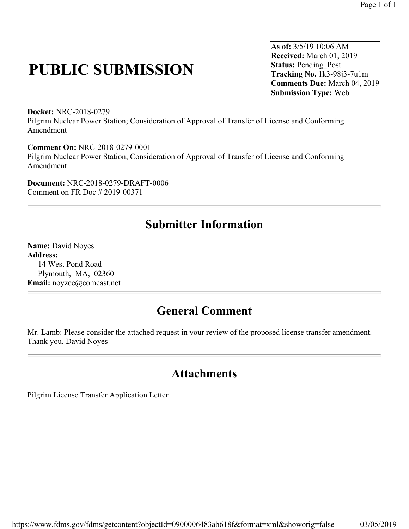## **PUBLIC SUBMISSION**

**As of:** 3/5/19 10:06 AM **Received:** March 01, 2019 **Status: Pending Post Tracking No.** 1k3-98j3-7u1m **Comments Due:** March 04, 2019 **Submission Type:** Web

**Docket:** NRC-2018-0279 Pilgrim Nuclear Power Station; Consideration of Approval of Transfer of License and Conforming Amendment

**Comment On:** NRC-2018-0279-0001 Pilgrim Nuclear Power Station; Consideration of Approval of Transfer of License and Conforming Amendment

**Document:** NRC-2018-0279-DRAFT-0006 Comment on FR Doc # 2019-00371

## **Submitter Information**

**Name:** David Noyes **Address:**  14 West Pond Road Plymouth, MA, 02360 **Email:** noyzee@comcast.net

## **General Comment**

Mr. Lamb: Please consider the attached request in your review of the proposed license transfer amendment. Thank you, David Noyes

## **Attachments**

Pilgrim License Transfer Application Letter